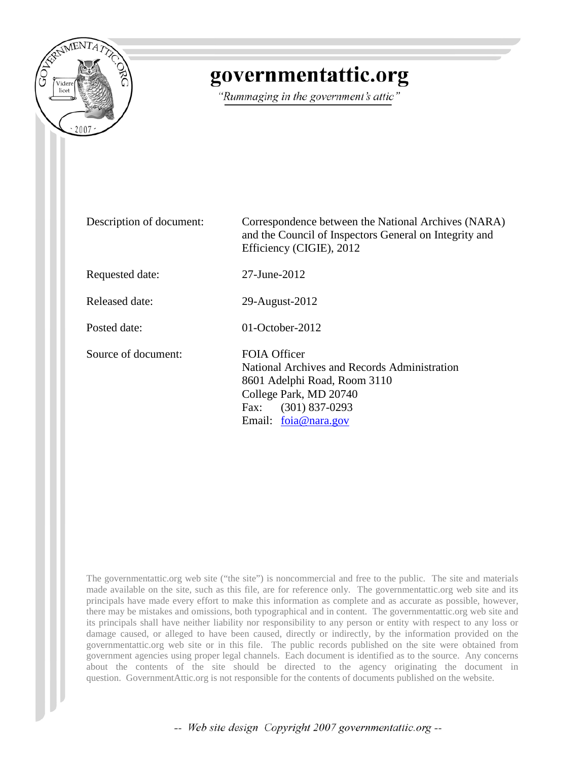

#### governmentattic.org

"Rummaging in the government's attic"

Description of document: Correspondence between the National Archives (NARA) and the Council of Inspectors General on Integrity and Efficiency (CIGIE), 2012 Requested date: 27-June-2012 Released date: 29-August-2012 Posted date: 01-October-2012 Source of document: FOIA Officer National Archives and Records Administration 8601 Adelphi Road, Room 3110 College Park, MD 20740 Fax: (301) 837-0293 Email: [foia@nara.gov](mailto:foia@nara.gov?subject=FOIA%20Request)

The governmentattic.org web site ("the site") is noncommercial and free to the public. The site and materials made available on the site, such as this file, are for reference only. The governmentattic.org web site and its principals have made every effort to make this information as complete and as accurate as possible, however, there may be mistakes and omissions, both typographical and in content. The governmentattic.org web site and its principals shall have neither liability nor responsibility to any person or entity with respect to any loss or damage caused, or alleged to have been caused, directly or indirectly, by the information provided on the governmentattic.org web site or in this file. The public records published on the site were obtained from government agencies using proper legal channels. Each document is identified as to the source. Any concerns about the contents of the site should be directed to the agency originating the document in question. GovernmentAttic.org is not responsible for the contents of documents published on the website.

-- Web site design Copyright 2007 governmentattic.org --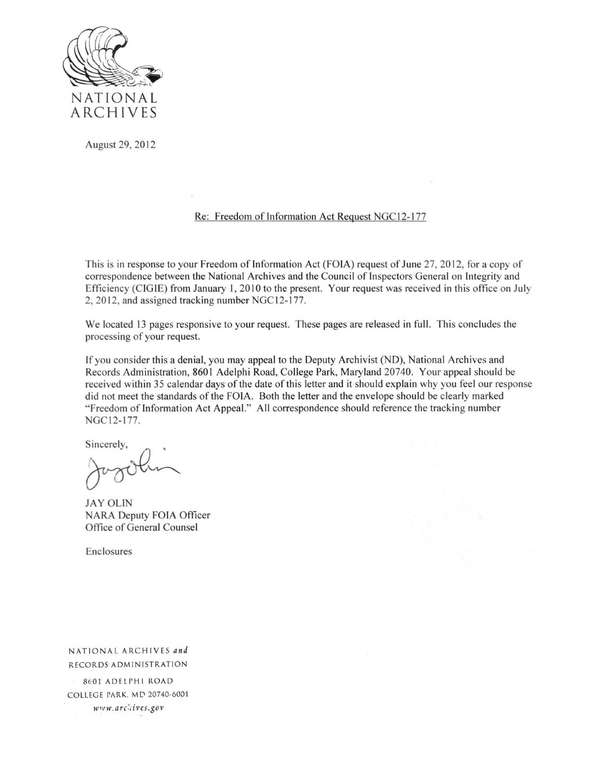

August 29, 2012

#### Re: Freedom of Information Act Request NGC 12-177

This is in response to your Freedom of Information Act (FOIA) request of June 27, 2012, for a copy of correspondence between the National Archives and the Council of Inspectors General on Integrity and Efficiency (CIGIE) from January I, 2010 to the present. Your request was received in this office on July 2, 2012, and assigned tracking number NGC 12-177.

We located 13 pages responsive to your request. These pages are released in full. This concludes the processing of your request.

If you consider this a denial, you may appeal to the Deputy Archivist (ND), National Archives and Records Administration, 8601 Adelphi Road, College Park, Maryland 20740. Your appeal should be received within 35 calendar days of the date of this letter and it should explain why you feel our response did not meet the standards of the FOIA. Both the letter and the envelope should be clearly marked "Freedom of Information Act Appeal." All correspondence should reference the tracking number NGCI2-177.

Sincerely,

JAY OLIN NARA Deputy FOIA Officer Office of General Counsel

Enclosures

NATIONAL ARCHIVES and RECORDS ADMINISTRATION

8601 ADELPHI ROAD COLLEGE PARK. MD 20740-60)) 1 *w•vw. arc:, i ves.go v*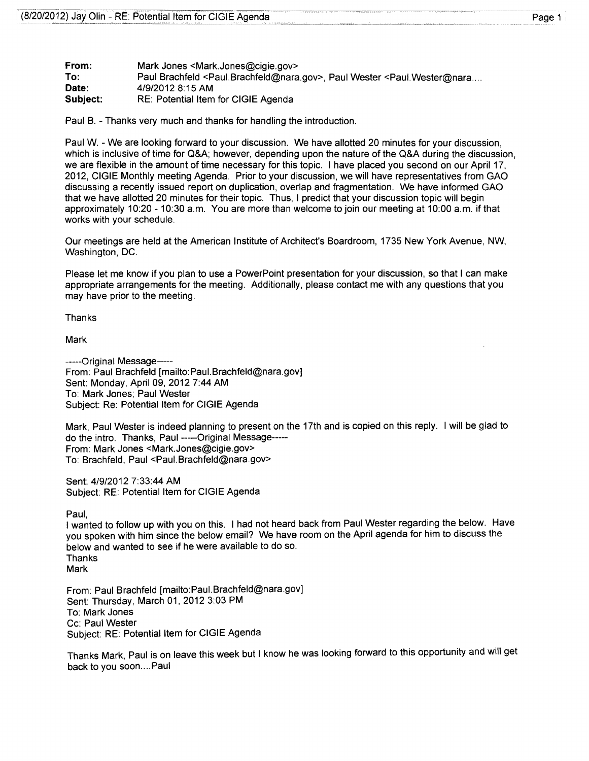| ×<br>۰ |  |
|--------|--|
|        |  |

**From: To: Date: Subject:**  Mark Jones <Mark.Jones@cigie.gov> Paul Brachfeld <Paui.Brachfeld@nara.gov>, Paul Wester <Paui.Wester@nara .... 4/9/2012 8:15AM RE: Potential Item for CIGIE Agenda

Paul B. -Thanks very much and thanks for handling the introduction.

Paul W. -We are looking forward to your discussion. We have allotted 20 minutes for your discussion, which is inclusive of time for Q&A; however, depending upon the nature of the Q&A during the discussion, we are flexible in the amount of time necessary for this topic. I have placed you second on our April 17, 2012, CIGIE Monthly meeting Agenda. Prior to your discussion, we will have representatives from GAO discussing a recently issued report on duplication, overlap and fragmentation. We have informed GAO that we have allotted 20 minutes for their topic. Thus, I predict that your discussion topic will begin approximately 10:20- 10:30 a.m. You are more than welcome to join our meeting at 10:00 a.m. if that works with your schedule.

Our meetings are held at the American Institute of Architect's Boardroom, 1735 New York Avenue, NW, Washington, DC.

Please let me know if you plan to use a PowerPoint presentation for your discussion, so that I can make appropriate arrangements for the meeting. Additionally, please contact me with any questions that you may have prior to the meeting.

Thanks

Mark

-----Original Message----- From: Paul Brachfeld [mailto:Paui.Brachfeld@nara.gov] Sent: Monday, April 09, 2012 7:44AM To: Mark Jones; Paul Wester Subject: Re: Potential Item for CIGIE Agenda

Mark, Paul Wester is indeed planning to present on the 17th and is copied on this reply. I will be glad to do the intra. Thanks, Paul -----Original Message----- From: Mark Jones <Mark.Jones@cigie.gov> To: Brachfeld, Paul <Paui.Brachfeld@nara.gov>

Sent: 4/9/2012 7:33:44 AM Subject: RE: Potential Item for CIGIE Agenda

Paul,

1 wanted to follow up with you on this. I had not heard back from Paul Wester regarding the below. Have you spoken with him since the below email? We have room on the April agenda for him to discuss the below and wanted to see if he were available to do so. Thanks Mark

From: Paul Brachfeld [mailto:Paui.Brachfeld@nara.gov] Sent: Thursday, March 01, 2012 3:03 PM To: Mark Jones Cc: Paul Wester Subject: RE: Potential Item for CIGIE Agenda

Thanks Mark, Paul is on leave this week but I know he was looking forward to this opportunity and will get back to you soon....Paul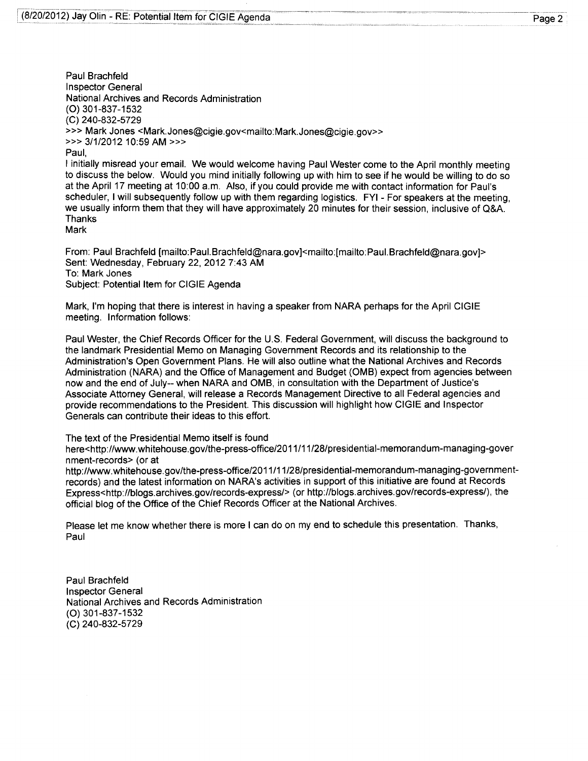Paul Brachfeld Inspector General National Archives and Records Administration (0) 301-837-1532 (C) 240-832-5729 >>> Mark Jones <Mark.Jones@cigie.gov<mailto:Mark.Jones@cigie.gov» »> 3/1/2012 10:59 AM>» Paul, I initially misread your email. We would welcome having Paul Wester come to the April monthly meeting to discuss the below. Would you mind initially following up with him to see if he would be willing to do so at the April 17 meeting at 10:00 a.m. Also, if you could provide me with contact information for Paul's

scheduler, I will subsequently follow up with them regarding logistics. FYI - For speakers at the meeting, we usually inform them that they will have approximately 20 minutes for their session, inclusive of Q&A. Thanks

**Mark** 

From: Paul Brachfeld [mailto:Paui.Brachfeld@nara.gov]<mailto:[mailto:Paui.Brachfeld@nara.gov]> Sent: Wednesday, February 22, 2012 7:43 AM To: Mark Jones Subject: Potential Item for CIGIE Agenda

Mark, I'm hoping that there is interest in having a speaker from NARA perhaps for the April CIGIE meeting. Information follows:

Paul Wester, the Chief Records Officer for the U.S. Federal Government, will discuss the background to the landmark Presidential Memo on Managing Government Records and its relationship to the Administration's Open Government Plans. He will also outline what the National Archives and Records Administration (NARA) and the Office of Management and Budget (OMB) expect from agencies between now and the end of July-- when NARA and OMB, in consultation with the Department of Justice's Associate Attorney General, will release a Records Management Directive to all Federal agencies and provide recommendations to the President. This discussion will highlight how CIGIE and Inspector Generals can contribute their ideas to this effort.

The text of the Presidential Memo itself is found

here<http://www.whitehouse.gov/the-press-office/2011/11/28/presidential-memorandum-managing-gover nment-records> (or at

http://www.whitehouse.gov/the-press-office/2011/11/28/presidential-memorandum-managing-governmentrecords) and the latest information on NARA's activities in support of this initiative are found at Records Express<http://blogs.archives.gov/records-express/> (or http://blogs.archives.gov/records-express/), the official blog of the Office of the Chief Records Officer at the National Archives.

Please let me know whether there is more I can do on my end to schedule this presentation. Thanks, Paul

Paul Brachfeld Inspector General National Archives and Records Administration (0) 301-837-1532 (C) 240-832-5729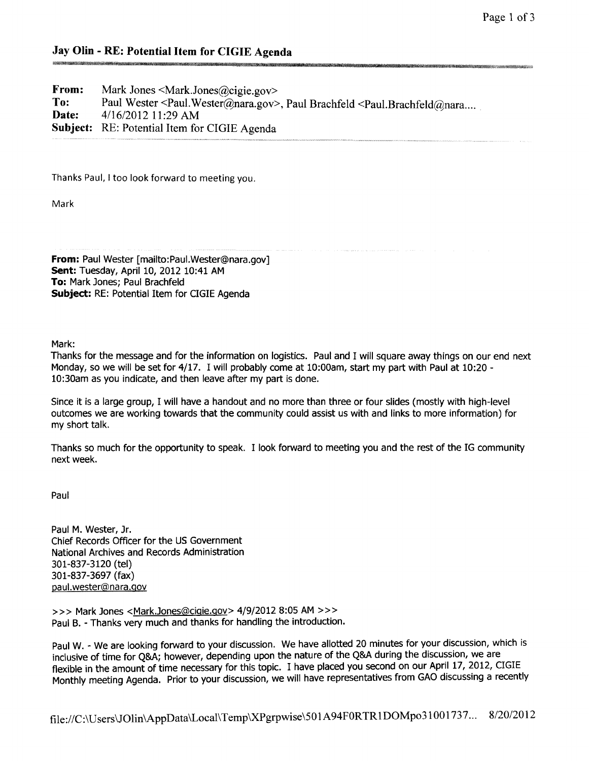#### Jay Olin- RE: Potential Item for CIGIE Agenda

| From: | Mark Jones $\leq$ Mark Jones $\hat{a}$ ) cigie gov                                             |
|-------|------------------------------------------------------------------------------------------------|
| To:   | Paul Wester < Paul. Wester $\omega$ nara.gov >, Paul Brachfeld < Paul. Brachfeld $\omega$ nara |
| Date: | 4/16/2012 11:29 AM                                                                             |
|       | <b>Subject:</b> RE: Potential Item for CIGIE Agenda                                            |

Thanks Paul, I too look forward to meeting you.

Mark

From: Paul Wester [mailto:Paul.Wester@nara.gov] Sent: Tuesday, April 10, 2012 10:41 AM To: Mark Jones; Paul Brachfeld Subject: RE: Potential Item for CIGIE Agenda

Mark:

Thanks for the message and for the information on logistics. Paul and I will square away things on our end next Monday, so we will be set for 4/17. I will probably come at 10:00am, start my part with Paul at 10:20 -!0:30am as you indicate, and then leave after my part is done.

Since it is a large group, I will have a handout and no more than three or four slides (mostly with high-level outcomes we are working towards that the community could assist us with and links to more information) for my short talk.

Thanks so much for the opportunity to speak. I look forward to meeting you and the rest of the IG community next week.

Paul

Paul M. Wester, Jr. Chief Records Officer for the US Government National Archives and Records Administration 301-837-3120 (tel) 301-837-3697 (fax) paul. wester@nara .qov

>>> Mark Jones <Mark.Jones@ciqie.gov> 4/9/2012 8:05AM >>> Paul B. -Thanks very much and thanks for handling the introduction.

Paul W. - We are looking forward to your discussion. We have allotted 20 minutes for your discussion, which is inclusive of time for Q&A; however, depending upon the nature of the Q&A during the discussion, we are flexible in the amount of time necessary for this topic. I have placed you second on our April 17, 2012, CIGIE Monthly meeting Agenda. Prior to your discussion, we will have representatives from GAO discussing a recently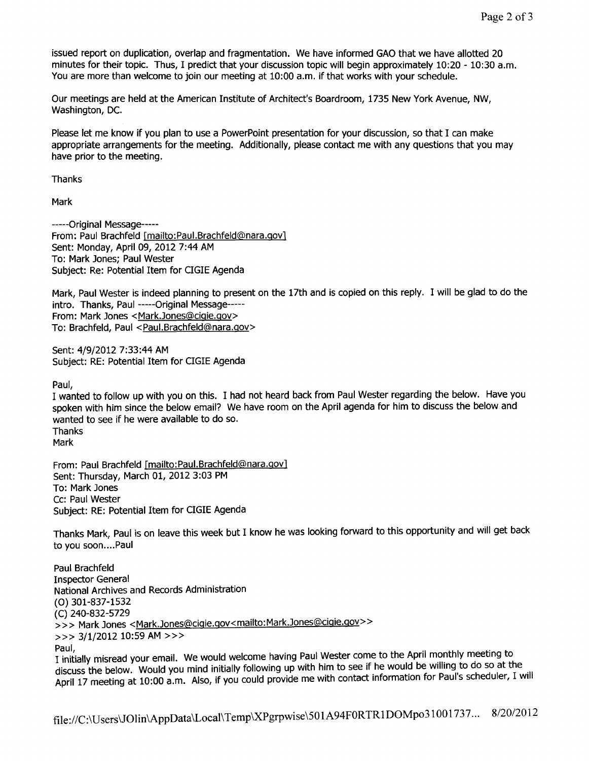issued report on duplication, overlap and fragmentation. We have informed GAO that we have allotted 20 minutes for their topic. Thus, I predict that your discussion topic will begin approximately 10:20- 10:30 a.m. You are more than welcome to join our meeting at 10:00 a.m. if that works with your schedule.

Our meetings are held at the American Institute of Architect's Boardroom, 1735 New York Avenue, NW, Washington, DC.

Please let me know if you plan to use a PowerPoint presentation for your discussion, so that I can make appropriate arrangements for the meeting. Additionally, please contact me with any questions that you may have prior to the meeting.

Thanks

**Mark** 

-----Original Message----- From: Paul Brachfeld [mailto:Paul.Brachfeld@nara.gov] Sent: Monday, April 09, 2012 7:44 AM To: Mark Jones; Paul Wester Subject: Re: Potential Item for CIGIE Agenda

Mark, Paul Wester is indeed planning to present on the 17th and is copied on this reply. I will be glad to do the intra. Thanks, Paul -----Original Message----- From: Mark Jones <Mark.Jones@cigie.gov> To: Brachfeld, Paul <Paui.Brachfeld@nara.gov>

Sent: 4/9/2012 7:33:44 AM Subject: RE: Potential Item for CIGIE Agenda

Paul,

I wanted to follow up with you on this. I had not heard back from Paul Wester regarding the below. Have you spoken with him since the below email? We have room on the April agenda for him to discuss the below and wanted to see if he were available to do so. Thanks Mark

From: Paul Brachfeld [mailto:Paul.Brachfeld@nara.gov] Sent: Thursday, March 01, 2012 3:03 PM To: Mark Jones Cc: Paul Wester Subject: RE: Potential Item for CIGIE Agenda

Thanks Mark, Paul is on leave this week but I know he was looking forward to this opportunity and will get back to you soon .... Paul

Paul Brachfeld Inspector General National Archives and Records Administration (0) 301-837-1532 (C) 240-832-5729 >>> Mark Jones <Mark.Jones@cigie.gov<mailto:Mark.Jones@cigie.gov>> >>> 3/1/2012 10:59 AM >>> Paul,

I initially misread your email. We would welcome having Paul Wester come to the April monthly meeting to discuss the below. Would you mind initially following up with him to see if he would be willing to do so at the April 17 meeting at 10:00 a.m. Also, if you could provide me with contact information for Paul's scheduler, I will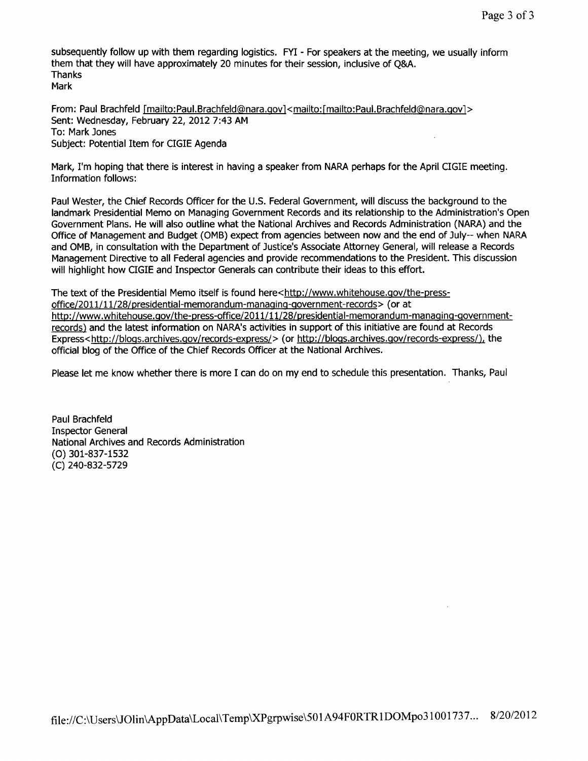subsequently follow up with them regarding logistics. FYI - For speakers at the meeting, we usually inform them that they will have approximately 20 minutes for their session, inclusive of Q&A. **Thanks Mark** 

From: Paul Brachfeld [mailto:Paui.Brachfeld@nara.gov]<mailto:[mailto:Paui.Brachfeld@nara.govl> Sent: Wednesday, February 22, 2012 7:43AM To: Mark Jones Subject: Potential Item for CIGIE Agenda

Mark, I'm hoping that there is interest in having a speaker from NARA perhaps for the April CIGIE meeting. Information follows:

Paul Wester, the Chief Records Officer for the U.S. Federal Government, will discuss the background to the landmark Presidential Memo on Managing Government Records and its relationship to the Administration's Open Government Plans. He will also outline what the National Archives and Records Administration (NARA) and the Office of Management and Budget (OMB) expect from agencies between now and the end of July-- when NARA and OMB, in consultation with the Department of Justice's Associate Attorney General, will release a Records Management Directive to all Federal agencies and provide recommendations to the President. This discussion will highlight how CIGIE and Inspector Generals can contribute their ideas to this effort.

The text of the Presidential Memo itself is found here<http://www.whitehouse.gov/the-pressoffice/20 11/11/28/presidential-memorandum-managing-government-records> (or at http://www.whitehouse.gov/the-press-office/2011/11/28/presidential-memorandum-managing-governmentrecords) and the latest information on NARA's activities in support of this initiative are found at Records Express<http://blogs.archives.gov/records-express/> (or http://blogs.archives.gov/records-express/), the official blog of the Office of the Chief Records Officer at the National Archives.

Please let me know whether there is more I can do on my end to schedule this presentation. Thanks, Paul

Paul Brachfeld Inspector General National Archives and Records Administration (0) 301-837-1532 (C) 240-832-5729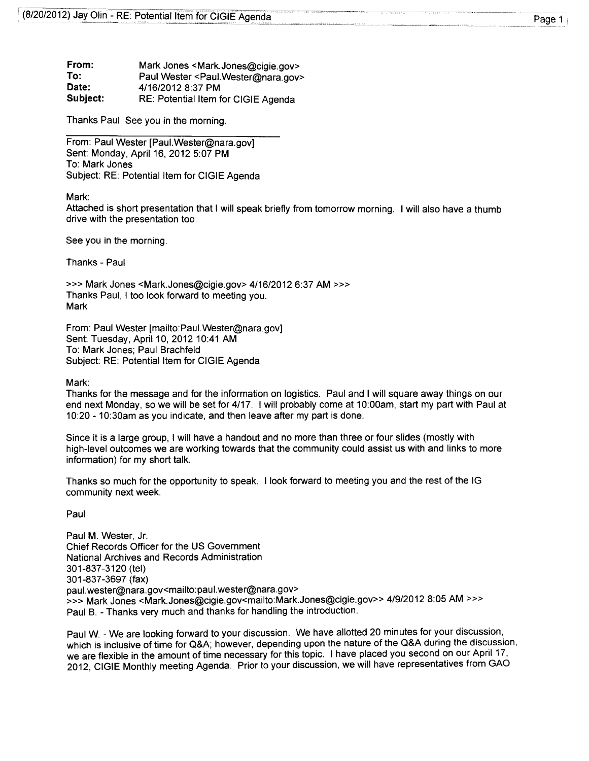| From:    | Mark Jones <mark.jones@cigie.gov></mark.jones@cigie.gov>  |
|----------|-----------------------------------------------------------|
| To:      | Paul Wester <paul.wester@nara.gov></paul.wester@nara.gov> |
| Date:    | 4/16/2012 8:37 PM                                         |
| Subject: | RE: Potential Item for CIGIE Agenda                       |

Thanks Paul. See you in the morning.

From: Paul Wester [Paui.Wester@nara.gov] Sent: Monday, April 16, 2012 5:07 PM To: Mark Jones Subject: RE: Potential Item for CIGIE Agenda

Mark:

Attached is short presentation that I will speak briefly from tomorrow morning. I will also have a thumb drive with the presentation too.

See you in the morning.

Thanks - Paul

»>Mark Jones <Mark.Jones@cigie.gov> 4/16/2012 6:37AM»> Thanks Paul, I too look forward to meeting you. **Mark** 

From: Paul Wester [mailto:Paui.Wester@nara.gov] Sent: Tuesday, April 10, 2012 10:41 AM To: Mark Jones; Paul Brachfeld Subject: RE: Potential Item for CIGIE Agenda

Mark:

Thanks for the message and for the information on logistics. Paul and I will square away things on our end next Monday, so we will be set for 4/17. I will probably come at 10:00am, start my part with Paul at 10:20 - 1 0:30am as you indicate, and then leave after my part is done.

Since it is a large group, I will have a handout and no more than three or four slides (mostly with high-level outcomes we are working towards that the community could assist us with and links to more information) for my short talk.

Thanks so much for the opportunity to speak. I look forward to meeting you and the rest of the IG community next week.

Paul

Paul M. Wester, Jr. Chief Records Officer for the US Government National Archives and Records Administration 301-837-3120 (tel) 301-837-3697 (fax) paul.wester@nara.gov<mailto:paul.wester@nara.gov> >>> Mark Jones <Mark.Jones@cigie.gov<mailto:Mark.Jones@cigie.gov>> 4/9/2012 8:05 AM >>> Paul B. -Thanks very much and thanks for handling the introduction.

Paul W. - We are looking forward to your discussion. We have allotted 20 minutes for your discussion, which is inclusive of time for Q&A; however, depending upon the nature of the Q&A during the discussion, we are flexible in the amount of time necessary for this topic. I have placed you second on our April 17, 2012, CIGIE Monthly meeting Agenda. Prior to your discussion, we will have representatives from GAO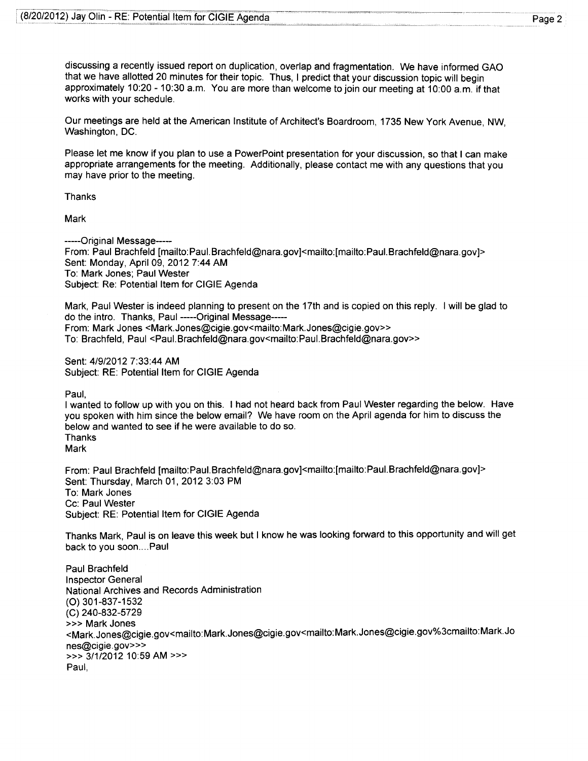discussing a recently issued report on duplication, overlap and fragmentation. We have informed GAO that we have allotted 20 minutes for their topic. Thus, I predict that your discussion topic will begin approximately 10:20- 10:30 a.m. You are more than welcome to join our meeting at 10:00 a.m. if that works with your schedule.

Our meetings are held at the American Institute of Architect's Boardroom, 1735 New York Avenue, NW, Washington, DC.

Please let me know if you plan to use a PowerPoint presentation for your discussion, so that 1 can make appropriate arrangements for the meeting. Additionally, please contact me with any questions that you may have prior to the meeting.

Thanks

**Mark** 

-----Original Message----- From: Paul Brachfeld [mailto: Paul. Brachfeld@nara.gov]<mailto: [mailto: Paul. Brachfeld@nara. gov]> Sent: Monday, April 09, 2012 7:44AM To: Mark Jones; Paul Wester Subject: Re: Potential Item for CIGIE Agenda

Mark, Paul Wester is indeed planning to present on the 17th and is copied on this reply\_ I will be glad to do the intro. Thanks, Paul -----Original Message----- From: Mark Jones <Mark.Jones@cigie.gov<mailto:Mark.Jones@cigie.gov» To: Brachfeld, Paul <Paul. Brachfeld@nara.gov<mailto: Paui.Brachfeld@nara.gov»

Sent: 4/9/2012 7:33:44 AM Subject: RE: Potential Item for CIGIE Agenda

Paul,

I wanted to follow up with you on this. I had not heard back from Paul Wester regarding the below. Have you spoken with him since the below email? We have room on the April agenda for him to discuss the below and wanted to see if he were available to do so. Thanks Mark

From: Paul Brachfeld [mailto:Paui.Brachfeld@nara.gov]<mailto:[mailto:Paui.Brachfeld@nara.gov]> Sent: Thursday, March 01, 2012 3:03 PM To: Mark Jones Cc: Paul Wester Subject: RE: Potential Item for CIGIE Agenda

Thanks Mark, Paul is on leave this week but I know he was looking forward to this opportunity and will get back to you soon....Paul

Paul Brachfeld Inspector General National Archives and Records Administration (0) 301-837-1532 (C) 240-832-5729 >>> Mark Jones <Mark.Jones@cigie.gov<mailto:Mark.Jones@cigie.gov<mailto:Mark.Jones@cigie.gov%3cmailto:Mark.Jo nes@cigie\_gov>>> »> 3/1/2012 10:59 AM»> Paul,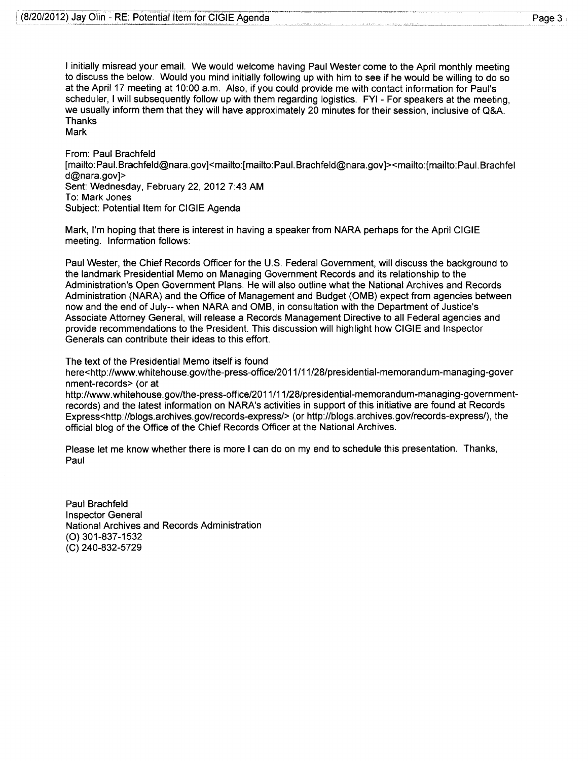I initially misread your email. We would welcome having Paul Wester come to the April monthly meeting to discuss the below. Would you mind initially following up with him to see if he would be willing to do so at the April 17 meeting at 10:00 a.m. Also, if you could provide me with contact information for Paul's scheduler, I will subsequently follow up with them regarding logistics. FYI - For speakers at the meeting, we usually inform them that they will have approximately 20 minutes for their session, inclusive of Q&A. Thanks **Mark** 

From: Paul Brachfeld [mailto: Paul. Brachfeld@nara. gov]< mailto: [mailto: Pau I. Brachfeld@nara.gov]><mailto: [mailto: Paul. Brachfel d@nara.gov]> Sent: Wednesday, February 22, 2012 7:43AM To: Mark Jones Subject: Potential Item for CIGIE Agenda

Mark, I'm hoping that there is interest in having a speaker from NARA perhaps for the April CIGIE meeting. Information follows:

Paul Wester, the Chief Records Officer for the U.S. Federal Government, will discuss the background to the landmark Presidential Memo on Managing Government Records and its relationship to the Administration's Open Government Plans. He will also outline what the National Archives and Records Administration (NARA) and the Office of Management and Budget (OMB) expect from agencies between now and the end of July-- when NARA and OMB, in consultation with the Department of Justice's Associate Attorney General, will release a Records Management Directive to all Federal agencies and provide recommendations to the President. This discussion will highlight how CIGIE and Inspector Generals can contribute their ideas to this effort.

The text of the Presidential Memo itself is found

here<http://www.whitehouse.gov/the-press-office/2011/11/28/presidential-memorandum-managing-gover nment-records> (or at

http://www.whitehouse.gov/the-press-office/2011/11/28/presidential-memorandum-managing-governmentrecords) and the latest information on NARA's activities in support of this initiative are found at Records Express<http://blogs.archives.gov/records-express/> (or http://blogs.archives.gov/records-express/), the official blog of the Office of the Chief Records Officer at the National Archives.

Please let me know whether there is more I can do on my end to schedule this presentation. Thanks, Paul

Paul Brachfeld Inspector General National Archives and Records Administration (0) 301-837-1532 (C) 240-832-5729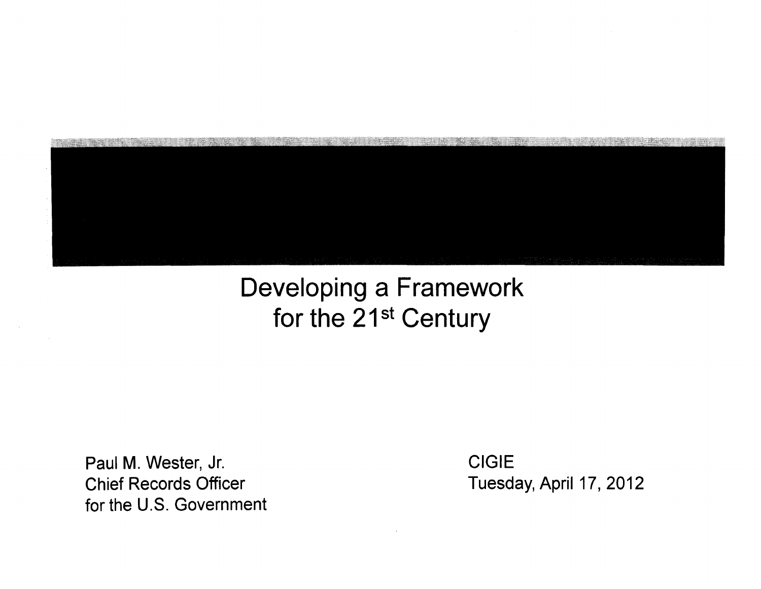

#### Developing a Framework for the 21<sup>st</sup> Century

Paul M. Wester, Jr. Chief Records Officer for the U.S. Government CIGIE Tuesday, April 17, 2012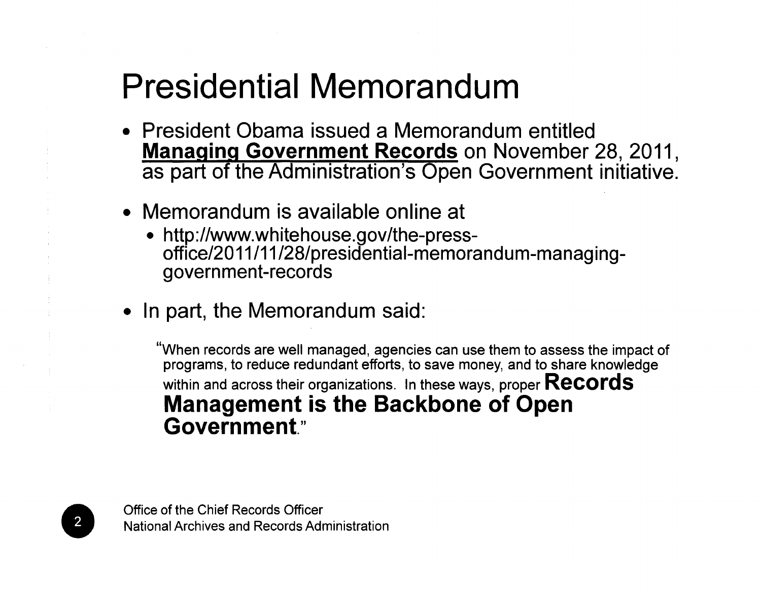### Presidential Memorandum

- President Obama issued a Memorandum entitled **Managing Government Records** on November 28, 2011, as part of the Administration's Open Government initiative.
- Memorandum is available online at
	- http://www.whitehouse.gov/the-pressoffice/20 11/11 /28/presidential-memorandum-managinggovernment-records
- In part, the Memorandum said:

"When records are well managed, agencies can use them to assess the impact of programs, to reduce redundant efforts, to save money, and to share knowledge within and across their organizations. In these ways, proper **Records Management is the Backbone of Open Government."** 

**e**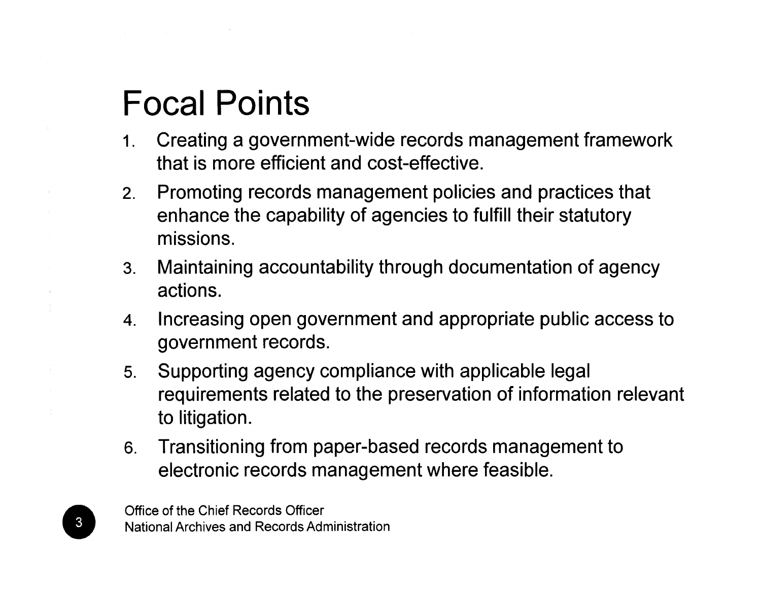## Focal **Points**

- 1. Creating a government-wide records management framework that is more efficient and cost-effective.
- 2. Promoting records management policies and practices that enhance the capability of agencies to fulfill their statutory missions.
- 3. Maintaining accountability through documentation of agency actions.
- 4. Increasing open government and appropriate public access to government records.
- 5. Supporting agency compliance with applicable legal requirements related to the preservation of information relevant to litigation.
- 6. Transitioning from paper-based records management to electronic records management where feasible.

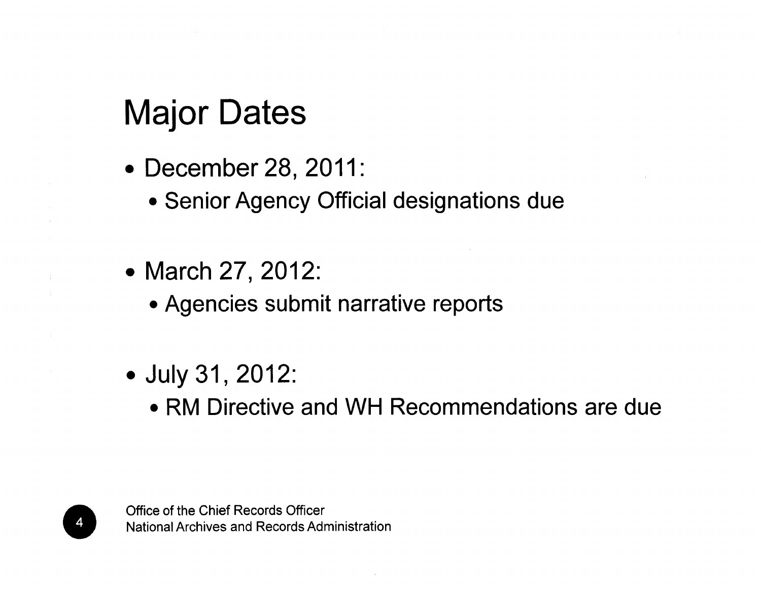## Major Dates

- December 28, 2011:
	- Senior Agency Official designations due
- March 27, 2012:
	- Agencies submit narrative reports
- July 31, 2012:
	- RM Directive and WH Recommendations are due



Office of the Chief Records Officer<br>National Archives and Records Adr National Archives and Records Administration